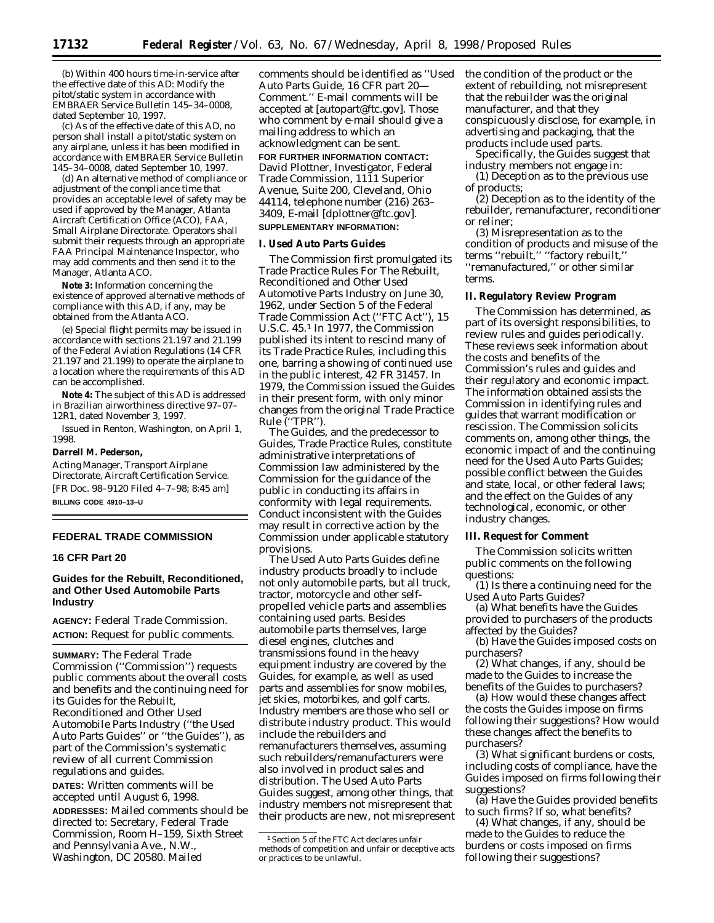(b) Within 400 hours time-in-service after the effective date of this AD: Modify the pitot/static system in accordance with EMBRAER Service Bulletin 145–34–0008, dated September 10, 1997.

(c) As of the effective date of this AD, no person shall install a pitot/static system on any airplane, unless it has been modified in accordance with EMBRAER Service Bulletin 145–34–0008, dated September 10, 1997.

(d) An alternative method of compliance or adjustment of the compliance time that provides an acceptable level of safety may be used if approved by the Manager, Atlanta Aircraft Certification Office (ACO), FAA, Small Airplane Directorate. Operators shall submit their requests through an appropriate FAA Principal Maintenance Inspector, who may add comments and then send it to the Manager, Atlanta ACO.

**Note 3:** Information concerning the existence of approved alternative methods of compliance with this AD, if any, may be obtained from the Atlanta ACO.

(e) Special flight permits may be issued in accordance with sections 21.197 and 21.199 of the Federal Aviation Regulations (14 CFR 21.197 and 21.199) to operate the airplane to a location where the requirements of this AD can be accomplished.

**Note 4:** The subject of this AD is addressed in Brazilian airworthiness directive 97–07– 12R1, dated November 3, 1997.

Issued in Renton, Washington, on April 1, 1998.

#### **Darrell M. Pederson,**

*Acting Manager, Transport Airplane Directorate, Aircraft Certification Service.* [FR Doc. 98–9120 Filed 4–7–98; 8:45 am] **BILLING CODE 4910–13–U**

# **FEDERAL TRADE COMMISSION**

## **16 CFR Part 20**

## **Guides for the Rebuilt, Reconditioned, and Other Used Automobile Parts Industry**

**AGENCY:** Federal Trade Commission. **ACTION:** Request for public comments.

**SUMMARY:** The Federal Trade Commission (''Commission'') requests public comments about the overall costs and benefits and the continuing need for its Guides for the Rebuilt, Reconditioned and Other Used Automobile Parts Industry (''the Used Auto Parts Guides'' or ''the Guides''), as part of the Commission's systematic review of all current Commission regulations and guides.

**DATES:** Written comments will be accepted until August 6, 1998.

**ADDRESSES:** Mailed comments should be directed to: Secretary, Federal Trade Commission, Room H–159, Sixth Street and Pennsylvania Ave., N.W., Washington, DC 20580. Mailed

comments should be identified as ''Used Auto Parts Guide, 16 CFR part 20— Comment.'' E-mail comments will be accepted at [autopart@ftc.gov]. Those who comment by e-mail should give a mailing address to which an acknowledgment can be sent.

#### **FOR FURTHER INFORMATION CONTACT:**

David Plottner, Investigator, Federal Trade Commission, 1111 Superior Avenue, Suite 200, Cleveland, Ohio 44114, telephone number (216) 263– 3409, E-mail [dplottner@ftc.gov]. **SUPPLEMENTARY INFORMATION:**

#### **I. Used Auto Parts Guides**

The Commission first promulgated its Trade Practice Rules For The Rebuilt, Reconditioned and Other Used Automotive Parts Industry on June 30, 1962, under Section 5 of the Federal Trade Commission Act (''FTC Act''), 15 U.S.C. 45.1 In 1977, the Commission published its intent to rescind many of its Trade Practice Rules, including this one, barring a showing of continued use in the public interest, 42 FR 31457. In 1979, the Commission issued the Guides in their present form, with only minor changes from the original Trade Practice Rule (''TPR'').

The Guides, and the predecessor to Guides, Trade Practice Rules, constitute administrative interpretations of Commission law administered by the Commission for the guidance of the public in conducting its affairs in conformity with legal requirements. Conduct inconsistent with the Guides may result in corrective action by the Commission under applicable statutory provisions.

The Used Auto Parts Guides define industry products broadly to include not only automobile parts, but all truck, tractor, motorcycle and other selfpropelled vehicle parts and assemblies containing used parts. Besides automobile parts themselves, large diesel engines, clutches and transmissions found in the heavy equipment industry are covered by the Guides, for example, as well as used parts and assemblies for snow mobiles, jet skies, motorbikes, and golf carts. Industry members are those who sell or distribute industry product. This would include the rebuilders and remanufacturers themselves, assuming such rebuilders/remanufacturers were also involved in product sales and distribution. The Used Auto Parts Guides suggest, among other things, that industry members not misrepresent that their products are new, not misrepresent the condition of the product or the extent of rebuilding, not misrepresent that the rebuilder was the original manufacturer, and that they conspicuously disclose, for example, in advertising and packaging, that the products include used parts.

Specifically, the Guides suggest that industry members not engage in:

(1) Deception as to the previous use of products;

(2) Deception as to the identity of the rebuilder, remanufacturer, reconditioner or reliner;

(3) Misrepresentation as to the condition of products and misuse of the terms ''rebuilt,'' ''factory rebuilt,'' ''remanufactured,'' or other similar terms.

### **II. Regulatory Review Program**

The Commission has determined, as part of its oversight responsibilities, to review rules and guides periodically. These reviews seek information about the costs and benefits of the Commission's rules and guides and their regulatory and economic impact. The information obtained assists the Commission in identifying rules and guides that warrant modification or rescission. The Commission solicits comments on, among other things, the economic impact of and the continuing need for the Used Auto Parts Guides; possible conflict between the Guides and state, local, or other federal laws; and the effect on the Guides of any technological, economic, or other industry changes.

## **III. Request for Comment**

The Commission solicits written public comments on the following questions:

(1) Is there a continuing need for the Used Auto Parts Guides?

(a) What benefits have the Guides provided to purchasers of the products affected by the Guides?

(b) Have the Guides imposed costs on purchasers?

(2) What changes, if any, should be made to the Guides to increase the benefits of the Guides to purchasers?

(a) How would these changes affect the costs the Guides impose on firms following their suggestions? How would these changes affect the benefits to purchasers?

(3) What significant burdens or costs, including costs of compliance, have the Guides imposed on firms following their suggestions?

(a) Have the Guides provided benefits to such firms? If so, what benefits?

(4) What changes, if any, should be made to the Guides to reduce the burdens or costs imposed on firms following their suggestions?

<sup>1</sup>Section 5 of the FTC Act declares unfair methods of competition and unfair or deceptive acts or practices to be unlawful.